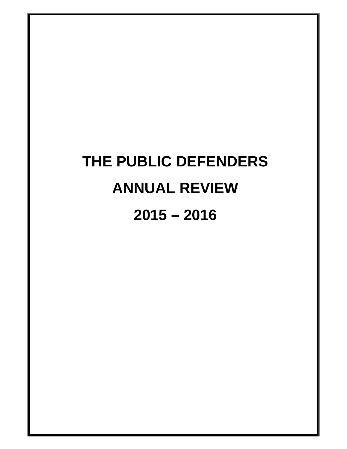# **THE PUBLIC DEFENDERS ANNUAL REVIEW 2015 – 2016**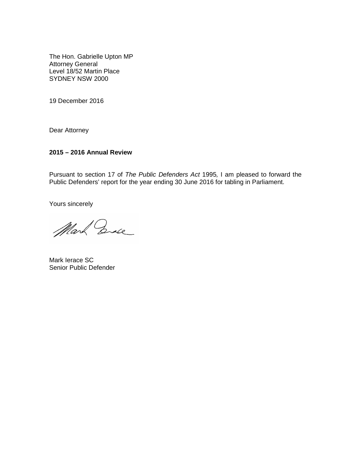The Hon. Gabrielle Upton MP Attorney General Level 18/52 Martin Place SYDNEY NSW 2000

19 December 2016

Dear Attorney

#### **2015 – 2016 Annual Review**

Pursuant to section 17 of The Public Defenders Act 1995, I am pleased to forward the Public Defenders' report for the year ending 30 June 2016 for tabling in Parliament.

Yours sincerely

Mark Ende

Mark Ierace SC Senior Public Defender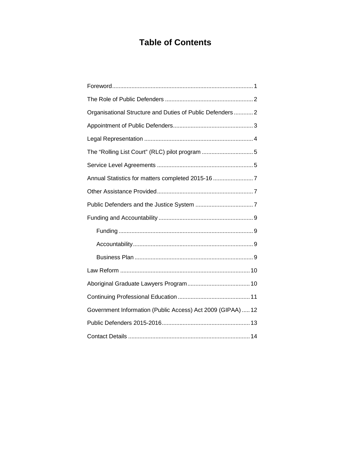### **Table of Contents**

| Organisational Structure and Duties of Public Defenders  2  |
|-------------------------------------------------------------|
|                                                             |
|                                                             |
| The "Rolling List Court" (RLC) pilot program 5              |
|                                                             |
| Annual Statistics for matters completed 2015-16 7           |
|                                                             |
|                                                             |
|                                                             |
|                                                             |
|                                                             |
|                                                             |
|                                                             |
|                                                             |
|                                                             |
| Government Information (Public Access) Act 2009 (GIPAA)  12 |
|                                                             |
|                                                             |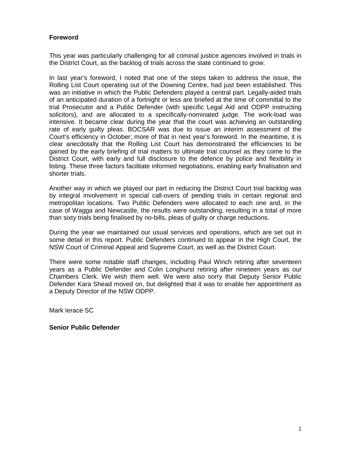#### **Foreword**

This year was particularly challenging for all criminal justice agencies involved in trials in the District Court, as the backlog of trials across the state continued to grow.

In last year's foreword, I noted that one of the steps taken to address the issue, the Rolling List Court operating out of the Downing Centre, had just been established. This was an initiative in which the Public Defenders played a central part. Legally-aided trials of an anticipated duration of a fortnight or less are briefed at the time of committal to the trial Prosecutor and a Public Defender (with specific Legal Aid and ODPP instructing solicitors), and are allocated to a specifically-nominated judge. The work-load was intensive. It became clear during the year that the court was achieving an outstanding rate of early guilty pleas. BOCSAR was due to issue an interim assessment of the Court's efficiency in October; more of that in next year's foreword. In the meantime, it is clear anecdotally that the Rolling List Court has demonstrated the efficiencies to be gained by the early briefing of trial matters to ultimate trial counsel as they come to the District Court, with early and full disclosure to the defence by police and flexibility in listing. These three factors facilitate informed negotiations, enabling early finalisation and shorter trials.

Another way in which we played our part in reducing the District Court trial backlog was by integral involvement in special call-overs of pending trials in certain regional and metropolitan locations. Two Public Defenders were allocated to each one and, in the case of Wagga and Newcastle, the results were outstanding, resulting in a total of more than sixty trials being finalised by no-bills, pleas of guilty or charge reductions.

During the year we maintained our usual services and operations, which are set out in some detail in this report. Public Defenders continued to appear in the High Court, the NSW Court of Criminal Appeal and Supreme Court, as well as the District Court.

There were some notable staff changes, including Paul Winch retiring after seventeen years as a Public Defender and Colin Longhurst retiring after nineteen years as our Chambers Clerk. We wish them well. We were also sorry that Deputy Senior Public Defender Kara Shead moved on, but delighted that it was to enable her appointment as a Deputy Director of the NSW ODPP.

Mark Ierace SC

#### **Senior Public Defender**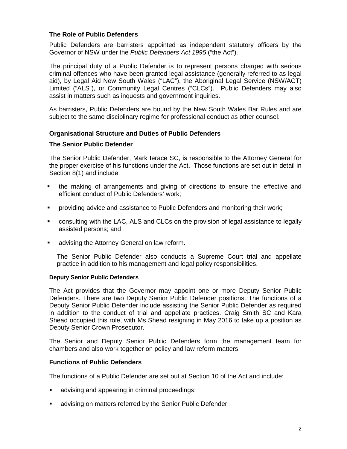#### **The Role of Public Defenders**

Public Defenders are barristers appointed as independent statutory officers by the Governor of NSW under the Public Defenders Act 1995 ("the Act").

The principal duty of a Public Defender is to represent persons charged with serious criminal offences who have been granted legal assistance (generally referred to as legal aid), by Legal Aid New South Wales ("LAC"), the Aboriginal Legal Service (NSW/ACT) Limited ("ALS"), or Community Legal Centres ("CLCs"). Public Defenders may also assist in matters such as inquests and government inquiries.

As barristers, Public Defenders are bound by the New South Wales Bar Rules and are subject to the same disciplinary regime for professional conduct as other counsel.

#### **Organisational Structure and Duties of Public Defenders**

#### **The Senior Public Defender**

The Senior Public Defender, Mark Ierace SC, is responsible to the Attorney General for the proper exercise of his functions under the Act. Those functions are set out in detail in Section 8(1) and include:

- the making of arrangements and giving of directions to ensure the effective and efficient conduct of Public Defenders' work;
- providing advice and assistance to Public Defenders and monitoring their work;
- consulting with the LAC, ALS and CLCs on the provision of legal assistance to legally assisted persons; and
- **advising the Attorney General on law reform.**

The Senior Public Defender also conducts a Supreme Court trial and appellate practice in addition to his management and legal policy responsibilities.

#### **Deputy Senior Public Defenders**

The Act provides that the Governor may appoint one or more Deputy Senior Public Defenders. There are two Deputy Senior Public Defender positions. The functions of a Deputy Senior Public Defender include assisting the Senior Public Defender as required in addition to the conduct of trial and appellate practices. Craig Smith SC and Kara Shead occupied this role, with Ms Shead resigning in May 2016 to take up a position as Deputy Senior Crown Prosecutor.

The Senior and Deputy Senior Public Defenders form the management team for chambers and also work together on policy and law reform matters.

#### **Functions of Public Defenders**

The functions of a Public Defender are set out at Section 10 of the Act and include:

- advising and appearing in criminal proceedings;
- **Example 2** advising on matters referred by the Senior Public Defender;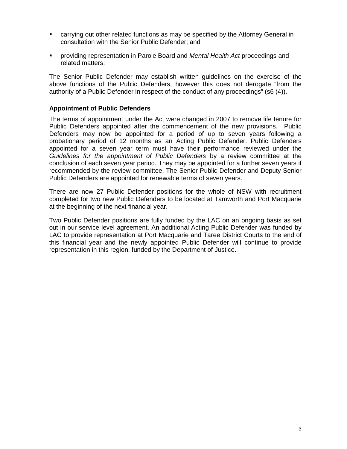- carrying out other related functions as may be specified by the Attorney General in consultation with the Senior Public Defender; and
- providing representation in Parole Board and Mental Health Act proceedings and related matters.

The Senior Public Defender may establish written guidelines on the exercise of the above functions of the Public Defenders, however this does not derogate "from the authority of a Public Defender in respect of the conduct of any proceedings" (s6 (4)).

#### **Appointment of Public Defenders**

The terms of appointment under the Act were changed in 2007 to remove life tenure for Public Defenders appointed after the commencement of the new provisions. Public Defenders may now be appointed for a period of up to seven years following a probationary period of 12 months as an Acting Public Defender. Public Defenders appointed for a seven year term must have their performance reviewed under the Guidelines for the appointment of Public Defenders by a review committee at the conclusion of each seven year period. They may be appointed for a further seven years if recommended by the review committee. The Senior Public Defender and Deputy Senior Public Defenders are appointed for renewable terms of seven years.

There are now 27 Public Defender positions for the whole of NSW with recruitment completed for two new Public Defenders to be located at Tamworth and Port Macquarie at the beginning of the next financial year.

Two Public Defender positions are fully funded by the LAC on an ongoing basis as set out in our service level agreement. An additional Acting Public Defender was funded by LAC to provide representation at Port Macquarie and Taree District Courts to the end of this financial year and the newly appointed Public Defender will continue to provide representation in this region, funded by the Department of Justice.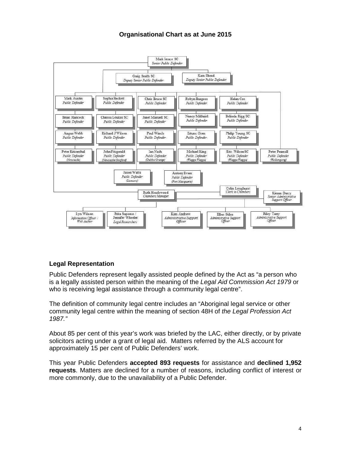#### **Organisational Chart as at June 2015**



#### **Legal Representation**

Public Defenders represent legally assisted people defined by the Act as "a person who is a legally assisted person within the meaning of the Legal Aid Commission Act 1979 or who is receiving legal assistance through a community legal centre".

The definition of community legal centre includes an "Aboriginal legal service or other community legal centre within the meaning of section 48H of the Legal Profession Act 1987."

About 85 per cent of this year's work was briefed by the LAC, either directly, or by private solicitors acting under a grant of legal aid. Matters referred by the ALS account for approximately 15 per cent of Public Defenders' work.

This year Public Defenders **accepted 893 requests** for assistance and **declined 1,952 requests**. Matters are declined for a number of reasons, including conflict of interest or more commonly, due to the unavailability of a Public Defender.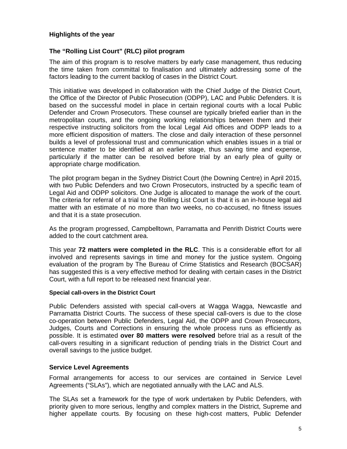#### **Highlights of the year**

#### **The "Rolling List Court" (RLC) pilot program**

The aim of this program is to resolve matters by early case management, thus reducing the time taken from committal to finalisation and ultimately addressing some of the factors leading to the current backlog of cases in the District Court.

This initiative was developed in collaboration with the Chief Judge of the District Court, the Office of the Director of Public Prosecution (ODPP), LAC and Public Defenders. It is based on the successful model in place in certain regional courts with a local Public Defender and Crown Prosecutors. These counsel are typically briefed earlier than in the metropolitan courts, and the ongoing working relationships between them and their respective instructing solicitors from the local Legal Aid offices and ODPP leads to a more efficient disposition of matters. The close and daily interaction of these personnel builds a level of professional trust and communication which enables issues in a trial or sentence matter to be identified at an earlier stage, thus saving time and expense, particularly if the matter can be resolved before trial by an early plea of guilty or appropriate charge modification.

The pilot program began in the Sydney District Court (the Downing Centre) in April 2015, with two Public Defenders and two Crown Prosecutors, instructed by a specific team of Legal Aid and ODPP solicitors. One Judge is allocated to manage the work of the court. The criteria for referral of a trial to the Rolling List Court is that it is an in-house legal aid matter with an estimate of no more than two weeks, no co-accused, no fitness issues and that it is a state prosecution.

As the program progressed, Campbelltown, Parramatta and Penrith District Courts were added to the court catchment area.

This year **72 matters were completed in the RLC**. This is a considerable effort for all involved and represents savings in time and money for the justice system. Ongoing evaluation of the program by The Bureau of Crime Statistics and Research (BOCSAR) has suggested this is a very effective method for dealing with certain cases in the District Court, with a full report to be released next financial year.

#### **Special call-overs in the District Court**

Public Defenders assisted with special call-overs at Wagga Wagga, Newcastle and Parramatta District Courts. The success of these special call-overs is due to the close co-operation between Public Defenders, Legal Aid, the ODPP and Crown Prosecutors, Judges, Courts and Corrections in ensuring the whole process runs as efficiently as possible. It is estimated **over 80 matters were resolved** before trial as a result of the call-overs resulting in a significant reduction of pending trials in the District Court and overall savings to the justice budget.

#### **Service Level Agreements**

Formal arrangements for access to our services are contained in Service Level Agreements ("SLAs"), which are negotiated annually with the LAC and ALS.

The SLAs set a framework for the type of work undertaken by Public Defenders, with priority given to more serious, lengthy and complex matters in the District, Supreme and higher appellate courts. By focusing on these high-cost matters, Public Defender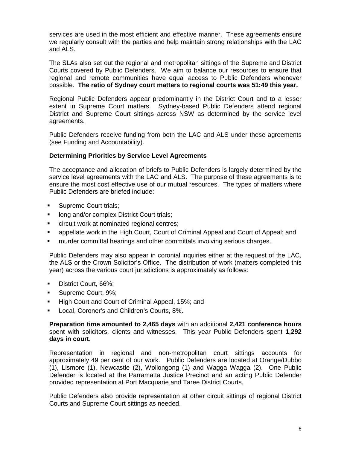services are used in the most efficient and effective manner. These agreements ensure we regularly consult with the parties and help maintain strong relationships with the LAC and ALS.

The SLAs also set out the regional and metropolitan sittings of the Supreme and District Courts covered by Public Defenders. We aim to balance our resources to ensure that regional and remote communities have equal access to Public Defenders whenever possible. **The ratio of Sydney court matters to regional courts was 51:49 this year.** 

Regional Public Defenders appear predominantly in the District Court and to a lesser extent in Supreme Court matters. Sydney-based Public Defenders attend regional District and Supreme Court sittings across NSW as determined by the service level agreements.

Public Defenders receive funding from both the LAC and ALS under these agreements (see Funding and Accountability).

#### **Determining Priorities by Service Level Agreements**

The acceptance and allocation of briefs to Public Defenders is largely determined by the service level agreements with the LAC and ALS. The purpose of these agreements is to ensure the most cost effective use of our mutual resources. The types of matters where Public Defenders are briefed include:

- **Supreme Court trials;**
- **If** long and/or complex District Court trials;
- **EXEC** circuit work at nominated regional centres;
- **EXED appellate work in the High Court, Court of Criminal Appeal and Court of Appeal; and**
- **F** murder committal hearings and other committals involving serious charges.

Public Defenders may also appear in coronial inquiries either at the request of the LAC, the ALS or the Crown Solicitor's Office. The distribution of work (matters completed this year) across the various court jurisdictions is approximately as follows:

- District Court, 66%;
- Supreme Court, 9%;
- High Court and Court of Criminal Appeal, 15%; and
- Local, Coroner's and Children's Courts, 8%.

**Preparation time amounted to 2,465 days** with an additional **2,421 conference hours** spent with solicitors, clients and witnesses. This year Public Defenders spent **1,292 days in court.**

Representation in regional and non-metropolitan court sittings accounts for approximately 49 per cent of our work. Public Defenders are located at Orange/Dubbo (1), Lismore (1), Newcastle (2), Wollongong (1) and Wagga Wagga (2). One Public Defender is located at the Parramatta Justice Precinct and an acting Public Defender provided representation at Port Macquarie and Taree District Courts.

Public Defenders also provide representation at other circuit sittings of regional District Courts and Supreme Court sittings as needed.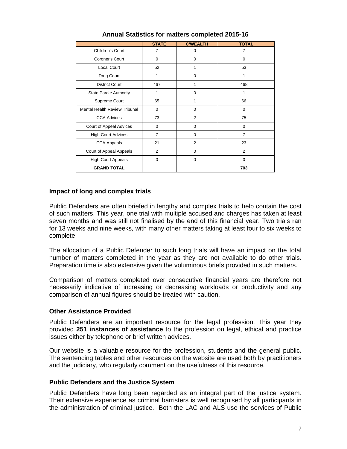|                                      | <b>STATE</b> | <b>C'WEALTH</b> | <b>TOTAL</b> |
|--------------------------------------|--------------|-----------------|--------------|
| Children's Court                     | 7            | $\mathbf 0$     | 7            |
| Coroner's Court                      | $\Omega$     | $\Omega$        | $\Omega$     |
| <b>Local Court</b>                   | 52           | 1               | 53           |
| Drug Court                           | 1            | $\Omega$        | 1            |
| <b>District Court</b>                | 467          | 1               | 468          |
| <b>State Parole Authority</b>        | 1            | $\Omega$        |              |
| Supreme Court                        | 65           | 1               | 66           |
| <b>Mental Health Review Tribunal</b> | $\mathbf 0$  | $\Omega$        | $\Omega$     |
| <b>CCA Advices</b>                   | 73           | $\overline{2}$  | 75           |
| Court of Appeal Advices              | $\mathbf 0$  | $\Omega$        | $\Omega$     |
| <b>High Court Advices</b>            | 7            | $\mathbf 0$     | 7            |
| <b>CCA Appeals</b>                   | 21           | $\overline{2}$  | 23           |
| Court of Appeal Appeals              | 2            | $\Omega$        | 2            |
| <b>High Court Appeals</b>            | $\mathbf 0$  | $\mathbf 0$     | $\Omega$     |
| <b>GRAND TOTAL</b>                   |              |                 | 703          |

#### **Annual Statistics for matters completed 2015-16**

#### **Impact of long and complex trials**

Public Defenders are often briefed in lengthy and complex trials to help contain the cost of such matters. This year, one trial with multiple accused and charges has taken at least seven months and was still not finalised by the end of this financial year. Two trials ran for 13 weeks and nine weeks, with many other matters taking at least four to six weeks to complete.

The allocation of a Public Defender to such long trials will have an impact on the total number of matters completed in the year as they are not available to do other trials. Preparation time is also extensive given the voluminous briefs provided in such matters.

Comparison of matters completed over consecutive financial years are therefore not necessarily indicative of increasing or decreasing workloads or productivity and any comparison of annual figures should be treated with caution.

#### **Other Assistance Provided**

Public Defenders are an important resource for the legal profession. This year they provided **251 instances of assistance** to the profession on legal, ethical and practice issues either by telephone or brief written advices.

Our website is a valuable resource for the profession, students and the general public. The sentencing tables and other resources on the website are used both by practitioners and the judiciary, who regularly comment on the usefulness of this resource.

#### **Public Defenders and the Justice System**

Public Defenders have long been regarded as an integral part of the justice system. Their extensive experience as criminal barristers is well recognised by all participants in the administration of criminal justice. Both the LAC and ALS use the services of Public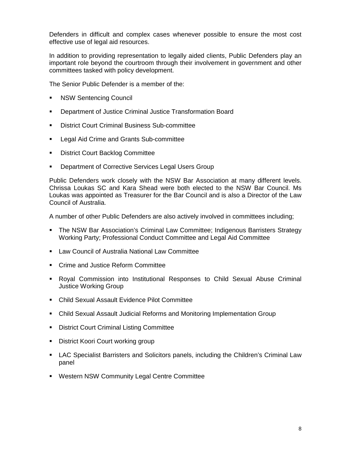Defenders in difficult and complex cases whenever possible to ensure the most cost effective use of legal aid resources.

In addition to providing representation to legally aided clients, Public Defenders play an important role beyond the courtroom through their involvement in government and other committees tasked with policy development.

The Senior Public Defender is a member of the:

- NSW Sentencing Council
- Department of Justice Criminal Justice Transformation Board
- **District Court Criminal Business Sub-committee**
- Legal Aid Crime and Grants Sub-committee
- District Court Backlog Committee
- **EXECT:** Department of Corrective Services Legal Users Group

Public Defenders work closely with the NSW Bar Association at many different levels. Chrissa Loukas SC and Kara Shead were both elected to the NSW Bar Council. Ms Loukas was appointed as Treasurer for the Bar Council and is also a Director of the Law Council of Australia.

A number of other Public Defenders are also actively involved in committees including;

- The NSW Bar Association's Criminal Law Committee; Indigenous Barristers Strategy Working Party; Professional Conduct Committee and Legal Aid Committee
- **Law Council of Australia National Law Committee**
- **Crime and Justice Reform Committee**
- Royal Commission into Institutional Responses to Child Sexual Abuse Criminal Justice Working Group
- Child Sexual Assault Evidence Pilot Committee
- Child Sexual Assault Judicial Reforms and Monitoring Implementation Group
- **District Court Criminal Listing Committee**
- District Koori Court working group
- LAC Specialist Barristers and Solicitors panels, including the Children's Criminal Law panel
- **Western NSW Community Legal Centre Committee**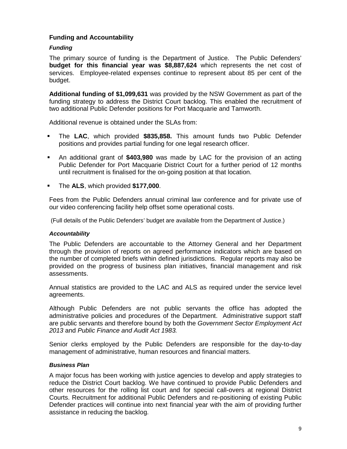#### **Funding and Accountability**

#### **Funding**

The primary source of funding is the Department of Justice. The Public Defenders' **budget for this financial year was \$8,887,624** which represents the net cost of services. Employee-related expenses continue to represent about 85 per cent of the budget.

**Additional funding of \$1,099,631** was provided by the NSW Government as part of the funding strategy to address the District Court backlog. This enabled the recruitment of two additional Public Defender positions for Port Macquarie and Tamworth.

Additional revenue is obtained under the SLAs from:

- The **LAC**, which provided **\$835,858.** This amount funds two Public Defender positions and provides partial funding for one legal research officer.
- An additional grant of **\$403,980** was made by LAC for the provision of an acting Public Defender for Port Macquarie District Court for a further period of 12 months until recruitment is finalised for the on-going position at that location.
- The **ALS**, which provided **\$177,000**.

Fees from the Public Defenders annual criminal law conference and for private use of our video conferencing facility help offset some operational costs.

(Full details of the Public Defenders' budget are available from the Department of Justice.)

#### **Accountability**

The Public Defenders are accountable to the Attorney General and her Department through the provision of reports on agreed performance indicators which are based on the number of completed briefs within defined jurisdictions. Regular reports may also be provided on the progress of business plan initiatives, financial management and risk assessments.

Annual statistics are provided to the LAC and ALS as required under the service level agreements.

Although Public Defenders are not public servants the office has adopted the administrative policies and procedures of the Department. Administrative support staff are public servants and therefore bound by both the Government Sector Employment Act 2013 and Public Finance and Audit Act 1983.

Senior clerks employed by the Public Defenders are responsible for the day-to-day management of administrative, human resources and financial matters.

#### **Business Plan**

A major focus has been working with justice agencies to develop and apply strategies to reduce the District Court backlog. We have continued to provide Public Defenders and other resources for the rolling list court and for special call-overs at regional District Courts. Recruitment for additional Public Defenders and re-positioning of existing Public Defender practices will continue into next financial year with the aim of providing further assistance in reducing the backlog.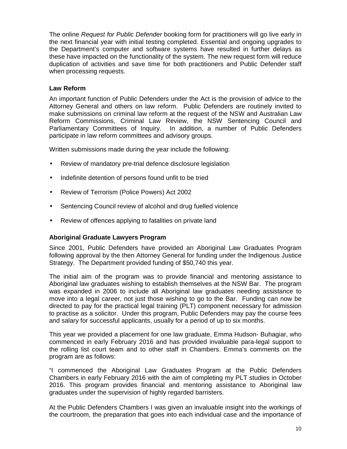The online Request for Public Defender booking form for practitioners will go live early in the next financial year with initial testing completed. Essential and ongoing upgrades to the Department's computer and software systems have resulted in further delays as these have impacted on the functionality of the system. The new request form will reduce duplication of activities and save time for both practitioners and Public Defender staff when processing requests.

#### **Law Reform**

An important function of Public Defenders under the Act is the provision of advice to the Attorney General and others on law reform. Public Defenders are routinely invited to make submissions on criminal law reform at the request of the NSW and Australian Law Reform Commissions, Criminal Law Review, the NSW Sentencing Council and Parliamentary Committees of Inquiry. In addition, a number of Public Defenders participate in law reform committees and advisory groups.

Written submissions made during the year include the following:

- Review of mandatory pre-trial defence disclosure legislation
- Indefinite detention of persons found unfit to be tried
- Review of Terrorism (Police Powers) Act 2002
- Sentencing Council review of alcohol and drug fuelled violence
- Review of offences applying to fatalities on private land

#### **Aboriginal Graduate Lawyers Program**

Since 2001, Public Defenders have provided an Aboriginal Law Graduates Program following approval by the then Attorney General for funding under the Indigenous Justice Strategy. The Department provided funding of \$50,740 this year.

The initial aim of the program was to provide financial and mentoring assistance to Aboriginal law graduates wishing to establish themselves at the NSW Bar. The program was expanded in 2006 to include all Aboriginal law graduates needing assistance to move into a legal career, not just those wishing to go to the Bar. Funding can now be directed to pay for the practical legal training (PLT) component necessary for admission to practise as a solicitor. Under this program, Public Defenders may pay the course fees and salary for successful applicants, usually for a period of up to six months.

This year we provided a placement for one law graduate, Emma Hudson- Buhagiar, who commenced in early February 2016 and has provided invaluable para-legal support to the rolling list court team and to other staff in Chambers. Emma's comments on the program are as follows:

"I commenced the Aboriginal Law Graduates Program at the Public Defenders Chambers in early February 2016 with the aim of completing my PLT studies in October 2016. This program provides financial and mentoring assistance to Aboriginal law graduates under the supervision of highly regarded barristers.

At the Public Defenders Chambers I was given an invaluable insight into the workings of the courtroom, the preparation that goes into each individual case and the importance of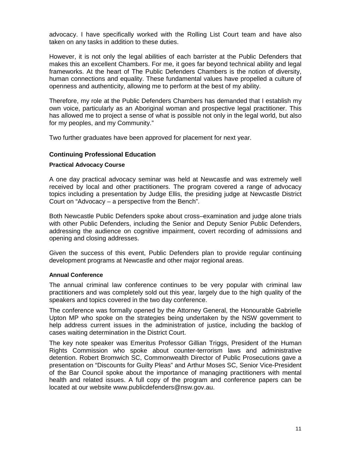advocacy. I have specifically worked with the Rolling List Court team and have also taken on any tasks in addition to these duties.

However, it is not only the legal abilities of each barrister at the Public Defenders that makes this an excellent Chambers. For me, it goes far beyond technical ability and legal frameworks. At the heart of The Public Defenders Chambers is the notion of diversity, human connections and equality. These fundamental values have propelled a culture of openness and authenticity, allowing me to perform at the best of my ability.

Therefore, my role at the Public Defenders Chambers has demanded that I establish my own voice, particularly as an Aboriginal woman and prospective legal practitioner. This has allowed me to project a sense of what is possible not only in the legal world, but also for my peoples, and my Community."

Two further graduates have been approved for placement for next year.

#### **Continuing Professional Education**

#### **Practical Advocacy Course**

A one day practical advocacy seminar was held at Newcastle and was extremely well received by local and other practitioners. The program covered a range of advocacy topics including a presentation by Judge Ellis, the presiding judge at Newcastle District Court on "Advocacy – a perspective from the Bench".

Both Newcastle Public Defenders spoke about cross–examination and judge alone trials with other Public Defenders, including the Senior and Deputy Senior Public Defenders, addressing the audience on cognitive impairment, covert recording of admissions and opening and closing addresses.

Given the success of this event, Public Defenders plan to provide regular continuing development programs at Newcastle and other major regional areas.

#### **Annual Conference**

The annual criminal law conference continues to be very popular with criminal law practitioners and was completely sold out this year, largely due to the high quality of the speakers and topics covered in the two day conference.

The conference was formally opened by the Attorney General, the Honourable Gabrielle Upton MP who spoke on the strategies being undertaken by the NSW government to help address current issues in the administration of justice, including the backlog of cases waiting determination in the District Court.

The key note speaker was Emeritus Professor Gillian Triggs, President of the Human Rights Commission who spoke about counter-terrorism laws and administrative detention. Robert Bromwich SC, Commonwealth Director of Public Prosecutions gave a presentation on "Discounts for Guilty Pleas" and Arthur Moses SC, Senior Vice-President of the Bar Council spoke about the importance of managing practitioners with mental health and related issues. A full copy of the program and conference papers can be located at our website www.publicdefenders@nsw.gov.au.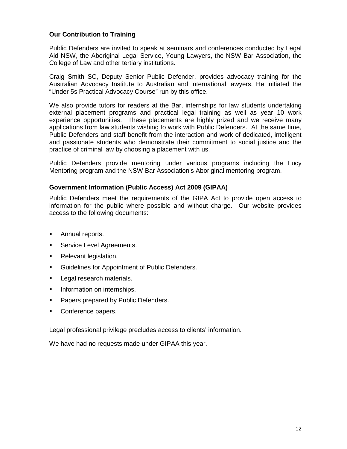#### **Our Contribution to Training**

Public Defenders are invited to speak at seminars and conferences conducted by Legal Aid NSW, the Aboriginal Legal Service, Young Lawyers, the NSW Bar Association, the College of Law and other tertiary institutions.

Craig Smith SC, Deputy Senior Public Defender, provides advocacy training for the Australian Advocacy Institute to Australian and international lawyers. He initiated the "Under 5s Practical Advocacy Course" run by this office.

We also provide tutors for readers at the Bar, internships for law students undertaking external placement programs and practical legal training as well as year 10 work experience opportunities. These placements are highly prized and we receive many applications from law students wishing to work with Public Defenders. At the same time, Public Defenders and staff benefit from the interaction and work of dedicated, intelligent and passionate students who demonstrate their commitment to social justice and the practice of criminal law by choosing a placement with us.

Public Defenders provide mentoring under various programs including the Lucy Mentoring program and the NSW Bar Association's Aboriginal mentoring program.

#### **Government Information (Public Access) Act 2009 (GIPAA)**

Public Defenders meet the requirements of the GIPA Act to provide open access to information for the public where possible and without charge. Our website provides access to the following documents:

- **Annual reports.**
- **Service Level Agreements.**
- **Relevant legislation.**
- Guidelines for Appointment of Public Defenders.
- Legal research materials.
- **Information on internships.**
- **Papers prepared by Public Defenders.**
- Conference papers.

Legal professional privilege precludes access to clients' information.

We have had no requests made under GIPAA this year.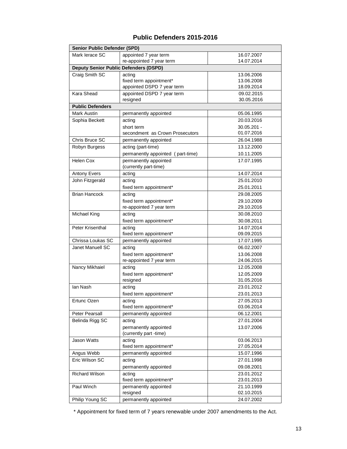#### **Public Defenders 2015-2016**

| <b>Senior Public Defender (SPD)</b>          |                                   |               |  |  |
|----------------------------------------------|-----------------------------------|---------------|--|--|
| Mark lerace SC                               | appointed 7 year term             | 16.07.2007    |  |  |
|                                              | re-appointed 7 year term          | 14.07.2014    |  |  |
| <b>Deputy Senior Public Defenders (DSPD)</b> |                                   |               |  |  |
| Craig Smith SC                               | acting                            | 13.06.2006    |  |  |
|                                              | fixed term appointment*           | 13.06.2008    |  |  |
|                                              | appointed DSPD 7 year term        | 18.09.2014    |  |  |
| Kara Shead                                   | appointed DSPD 7 year term        | 09.02.2015    |  |  |
|                                              | resigned                          | 30.05.2016    |  |  |
| <b>Public Defenders</b>                      |                                   |               |  |  |
| Mark Austin                                  | permanently appointed             | 05.06.1995    |  |  |
| Sophia Beckett                               | acting                            | 20.03.2016    |  |  |
|                                              | short term                        | $30.05.201 -$ |  |  |
|                                              | secondment as Crown Prosecutors   | 01.07.2016    |  |  |
| Chris Bruce SC                               | permanently appointed             | 26.04.1988    |  |  |
| Robyn Burgess                                | acting (part-time)                | 13.12.2000    |  |  |
|                                              | permanently appointed (part-time) | 10.11.2005    |  |  |
| Helen Cox                                    | permanently appointed             | 17.07.1995    |  |  |
|                                              | (currently part-time)             |               |  |  |
| <b>Antony Evers</b>                          | acting                            | 14.07.2014    |  |  |
| John Fitzgerald                              | acting                            | 25.01.2010    |  |  |
|                                              | fixed term appointment*           | 25.01.2011    |  |  |
| <b>Brian Hancock</b>                         | acting                            | 29.08.2005    |  |  |
|                                              | fixed term appointment*           | 29.10.2009    |  |  |
|                                              | re-appointed 7 year term          | 29.10.2016    |  |  |
| Michael King                                 | acting                            | 30.08.2010    |  |  |
|                                              | fixed term appointment*           | 30.08.2011    |  |  |
| Peter Krisenthal                             | acting                            | 14.07.2014    |  |  |
|                                              | fixed term appointment*           | 09.09.2015    |  |  |
| Chrissa Loukas SC                            | permanently appointed             | 17.07.1995    |  |  |
| Janet Manuell SC                             | acting                            | 06.02.2007    |  |  |
|                                              | fixed term appointment*           | 13.06.2008    |  |  |
|                                              | re-appointed 7 year term          | 24.06.2015    |  |  |
| Nancy Mikhaiel                               | acting                            | 12.05.2008    |  |  |
|                                              | fixed term appointment*           | 12.05.2009    |  |  |
|                                              | resigned                          | 31.05.2016    |  |  |
| lan Nash                                     | acting                            | 23.01.2012    |  |  |
|                                              | fixed term appointment*           | 23.01.2013    |  |  |
| Ertunc Ozen                                  | acting                            | 27.05.2013    |  |  |
|                                              | fixed term appointment*           | 03.06.2014    |  |  |
| Peter Pearsall                               | permanently appointed             | 06.12.2001    |  |  |
| Belinda Rigg SC                              | acting                            | 27.01.2004    |  |  |
|                                              | permanently appointed             | 13.07.2006    |  |  |
|                                              | (currently part -time)            |               |  |  |
| <b>Jason Watts</b>                           | acting                            | 03.06.2013    |  |  |
|                                              | fixed term appointment*           | 27.05.2014    |  |  |
| Angus Webb                                   | permanently appointed             | 15.07.1996    |  |  |
| Eric Wilson SC                               | acting                            | 27.01.1998    |  |  |
|                                              | permanently appointed             | 09.08.2001    |  |  |
| <b>Richard Wilson</b>                        | acting                            | 23.01.2012    |  |  |
|                                              | fixed term appointment*           | 23.01.2013    |  |  |
| Paul Winch                                   | permanently appointed             | 21.10.1999    |  |  |
|                                              | resigned                          | 02.10.2015    |  |  |
| Philip Young SC                              | permanently appointed             | 24.07.2002    |  |  |

\* Appointment for fixed term of 7 years renewable under 2007 amendments to the Act.